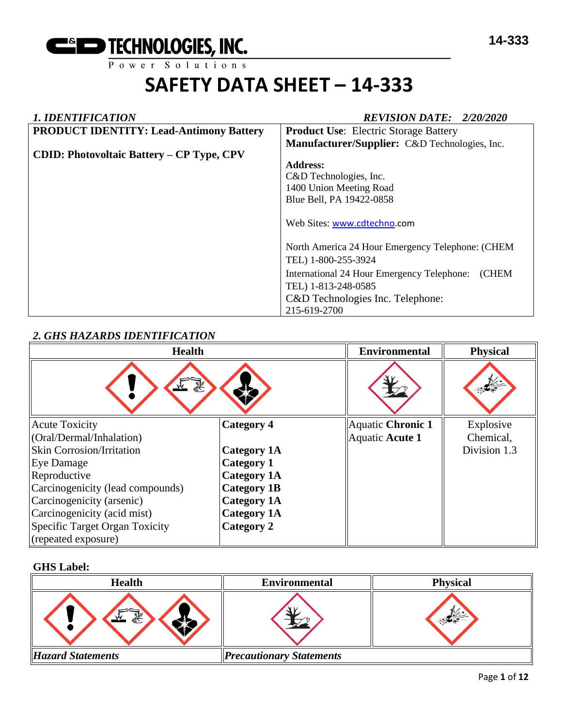

# *1. IDENTIFICATION REVISION DATE: 2/20/2020*

| <b>PRODUCT IDENTITY: Lead-Antimony Battery</b>   | <b>Product Use:</b> Electric Storage Battery        |
|--------------------------------------------------|-----------------------------------------------------|
|                                                  | Manufacturer/Supplier: C&D Technologies, Inc.       |
| <b>CDID: Photovoltaic Battery – CP Type, CPV</b> |                                                     |
|                                                  | <b>Address:</b>                                     |
|                                                  | C&D Technologies, Inc.                              |
|                                                  | 1400 Union Meeting Road                             |
|                                                  | Blue Bell, PA 19422-0858                            |
|                                                  |                                                     |
|                                                  | Web Sites: www.cdtechno.com                         |
|                                                  |                                                     |
|                                                  | North America 24 Hour Emergency Telephone: (CHEM    |
|                                                  | TEL) 1-800-255-3924                                 |
|                                                  | International 24 Hour Emergency Telephone:<br>(CHEM |
|                                                  | TEL) 1-813-248-0585                                 |
|                                                  | C&D Technologies Inc. Telephone:                    |
|                                                  | 215-619-2700                                        |

# *2. GHS HAZARDS IDENTIFICATION*

| <b>Health</b>                    |                    | <b>Environmental</b> | <b>Physical</b> |
|----------------------------------|--------------------|----------------------|-----------------|
| وتميز                            |                    |                      |                 |
| <b>Acute Toxicity</b>            | <b>Category 4</b>  | Aquatic Chronic 1    | Explosive       |
| (Oral/Dermal/Inhalation)         |                    | Aquatic Acute 1      | Chemical,       |
| <b>Skin Corrosion/Irritation</b> | <b>Category 1A</b> |                      | Division 1.3    |
| <b>Eye Damage</b>                | <b>Category 1</b>  |                      |                 |
| Reproductive                     | <b>Category 1A</b> |                      |                 |
| Carcinogenicity (lead compounds) | <b>Category 1B</b> |                      |                 |
| Carcinogenicity (arsenic)        | <b>Category 1A</b> |                      |                 |
| Carcinogenicity (acid mist)      | <b>Category 1A</b> |                      |                 |
| Specific Target Organ Toxicity   | Category 2         |                      |                 |
| (repeated exposure)              |                    |                      |                 |

# **GHS Label:**

| <b>Health</b>            | <b>Environmental</b>            | <b>Physical</b> |
|--------------------------|---------------------------------|-----------------|
| 鴷                        |                                 |                 |
| <b>Hazard Statements</b> | <b>Precautionary Statements</b> |                 |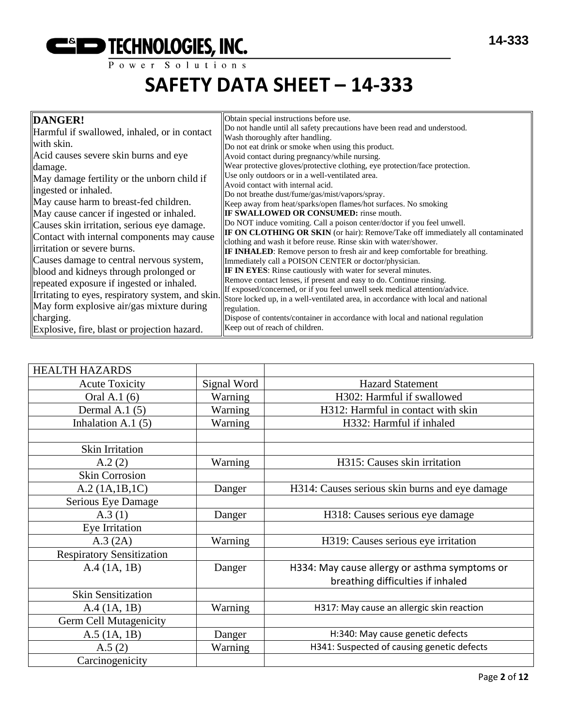| DANGER!                                           | Obtain special instructions before use.                                                                                                               |
|---------------------------------------------------|-------------------------------------------------------------------------------------------------------------------------------------------------------|
| Harmful if swallowed, inhaled, or in contact      | Do not handle until all safety precautions have been read and understood.                                                                             |
| with skin.                                        | Wash thoroughly after handling.<br>Do not eat drink or smoke when using this product.                                                                 |
| Acid causes severe skin burns and eye             | Avoid contact during pregnancy/while nursing.                                                                                                         |
| damage.                                           | Wear protective gloves/protective clothing, eye protection/face protection.                                                                           |
| May damage fertility or the unborn child if       | Use only outdoors or in a well-ventilated area.                                                                                                       |
|                                                   | Avoid contact with internal acid.                                                                                                                     |
| ingested or inhaled.                              | Do not breathe dust/fume/gas/mist/vapors/spray.                                                                                                       |
| May cause harm to breast-fed children.            | Keep away from heat/sparks/open flames/hot surfaces. No smoking                                                                                       |
| May cause cancer if ingested or inhaled.          | <b>IF SWALLOWED OR CONSUMED:</b> rinse mouth.                                                                                                         |
| Causes skin irritation, serious eye damage.       | Do NOT induce vomiting. Call a poison center/doctor if you feel unwell.                                                                               |
| Contact with internal components may cause        | <b>IF ON CLOTHING OR SKIN</b> (or hair): Remove/Take off immediately all contaminated                                                                 |
| irritation or severe burns.                       | clothing and wash it before reuse. Rinse skin with water/shower.<br><b>IF INHALED:</b> Remove person to fresh air and keep comfortable for breathing. |
| Causes damage to central nervous system,          | Immediately call a POISON CENTER or doctor/physician.                                                                                                 |
| blood and kidneys through prolonged or            | <b>IF IN EYES:</b> Rinse cautiously with water for several minutes.                                                                                   |
| repeated exposure if ingested or inhaled.         | Remove contact lenses, if present and easy to do. Continue rinsing.                                                                                   |
|                                                   | If exposed/concerned, or if you feel unwell seek medical attention/advice.                                                                            |
| Irritating to eyes, respiratory system, and skin. | Store locked up, in a well-ventilated area, in accordance with local and national                                                                     |
| May form explosive air/gas mixture during         | regulation.                                                                                                                                           |
| charging.                                         | Dispose of contents/container in accordance with local and national regulation                                                                        |
| Explosive, fire, blast or projection hazard.      | Keep out of reach of children.                                                                                                                        |

| <b>HEALTH HAZARDS</b>            |             |                                                |
|----------------------------------|-------------|------------------------------------------------|
| <b>Acute Toxicity</b>            | Signal Word | <b>Hazard Statement</b>                        |
| Oral A.1 (6)                     | Warning     | H302: Harmful if swallowed                     |
| Dermal A.1 $(5)$                 | Warning     | H312: Harmful in contact with skin             |
| Inhalation A.1 $(5)$             | Warning     | H332: Harmful if inhaled                       |
|                                  |             |                                                |
| <b>Skin Irritation</b>           |             |                                                |
| A.2(2)                           | Warning     | H315: Causes skin irritation                   |
| <b>Skin Corrosion</b>            |             |                                                |
| A.2 (1A.1B.1C)                   | Danger      | H314: Causes serious skin burns and eye damage |
| Serious Eye Damage               |             |                                                |
| A.3(1)                           | Danger      | H318: Causes serious eye damage                |
| Eye Irritation                   |             |                                                |
| A.3 (2A)                         | Warning     | H319: Causes serious eye irritation            |
| <b>Respiratory Sensitization</b> |             |                                                |
| A.4 (1A, 1B)                     | Danger      | H334: May cause allergy or asthma symptoms or  |
|                                  |             | breathing difficulties if inhaled              |
| <b>Skin Sensitization</b>        |             |                                                |
| A.4 (1A, 1B)                     | Warning     | H317: May cause an allergic skin reaction      |
| <b>Germ Cell Mutagenicity</b>    |             |                                                |
| $A.5$ (1A, 1B)                   | Danger      | H:340: May cause genetic defects               |
| A.5(2)                           | Warning     | H341: Suspected of causing genetic defects     |
| Carcinogenicity                  |             |                                                |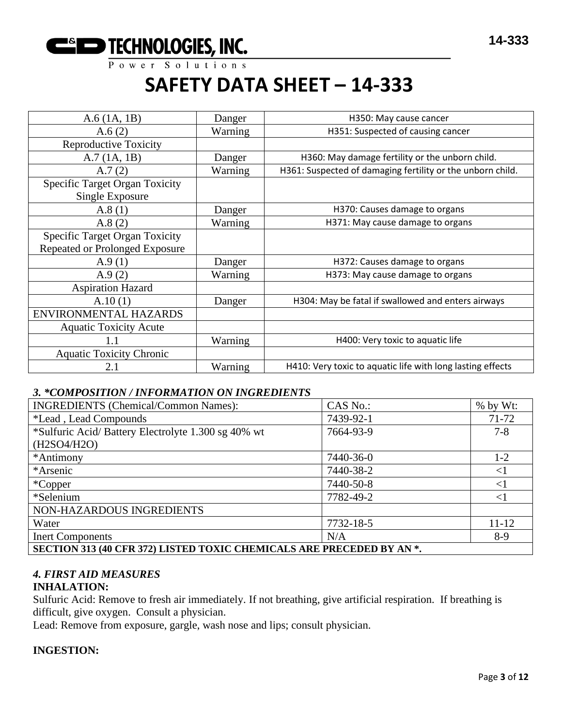

| $A.6$ (1A, 1B)                                           | Danger  | H350: May cause cancer                                     |
|----------------------------------------------------------|---------|------------------------------------------------------------|
| A.6(2)                                                   | Warning | H351: Suspected of causing cancer                          |
| <b>Reproductive Toxicity</b>                             |         |                                                            |
| A.7(1A, 1B)                                              | Danger  | H360: May damage fertility or the unborn child.            |
| A.7(2)                                                   | Warning | H361: Suspected of damaging fertility or the unborn child. |
| <b>Specific Target Organ Toxicity</b><br>Single Exposure |         |                                                            |
| A.8(1)                                                   | Danger  | H370: Causes damage to organs                              |
| A.8(2)                                                   | Warning | H371: May cause damage to organs                           |
| <b>Specific Target Organ Toxicity</b>                    |         |                                                            |
| Repeated or Prolonged Exposure                           |         |                                                            |
| A.9(1)                                                   | Danger  | H372: Causes damage to organs                              |
| A.9(2)                                                   | Warning | H373: May cause damage to organs                           |
| <b>Aspiration Hazard</b>                                 |         |                                                            |
| A.10(1)                                                  | Danger  | H304: May be fatal if swallowed and enters airways         |
| ENVIRONMENTAL HAZARDS                                    |         |                                                            |
| <b>Aquatic Toxicity Acute</b>                            |         |                                                            |
| 1.1                                                      | Warning | H400: Very toxic to aquatic life                           |
| <b>Aquatic Toxicity Chronic</b>                          |         |                                                            |
| 2.1                                                      | Warning | H410: Very toxic to aquatic life with long lasting effects |

# *3. \*COMPOSITION / INFORMATION ON INGREDIENTS*

| <b>INGREDIENTS</b> (Chemical/Common Names):                           | CAS No.:  | $%$ by Wt: |  |  |
|-----------------------------------------------------------------------|-----------|------------|--|--|
| <i>*Lead</i> , Lead Compounds                                         | 7439-92-1 | 71-72      |  |  |
| *Sulfuric Acid/ Battery Electrolyte 1.300 sg 40% wt                   | 7664-93-9 | $7 - 8$    |  |  |
| (H2SO4/H2O)                                                           |           |            |  |  |
| *Antimony                                                             | 7440-36-0 | $1-2$      |  |  |
| *Arsenic                                                              | 7440-38-2 | $<$ l      |  |  |
| *Copper                                                               | 7440-50-8 | $\leq$ 1   |  |  |
| *Selenium                                                             | 7782-49-2 | $\leq$ 1   |  |  |
| NON-HAZARDOUS INGREDIENTS                                             |           |            |  |  |
| Water                                                                 | 7732-18-5 | $11 - 12$  |  |  |
| <b>Inert Components</b>                                               | N/A       | $8-9$      |  |  |
| SECTION 313 (40 CFR 372) LISTED TOXIC CHEMICALS ARE PRECEDED BY AN *. |           |            |  |  |

# *4. FIRST AID MEASURES*

# **INHALATION:**

Sulfuric Acid: Remove to fresh air immediately. If not breathing, give artificial respiration. If breathing is difficult, give oxygen. Consult a physician.

Lead: Remove from exposure, gargle, wash nose and lips; consult physician.

#### **INGESTION:**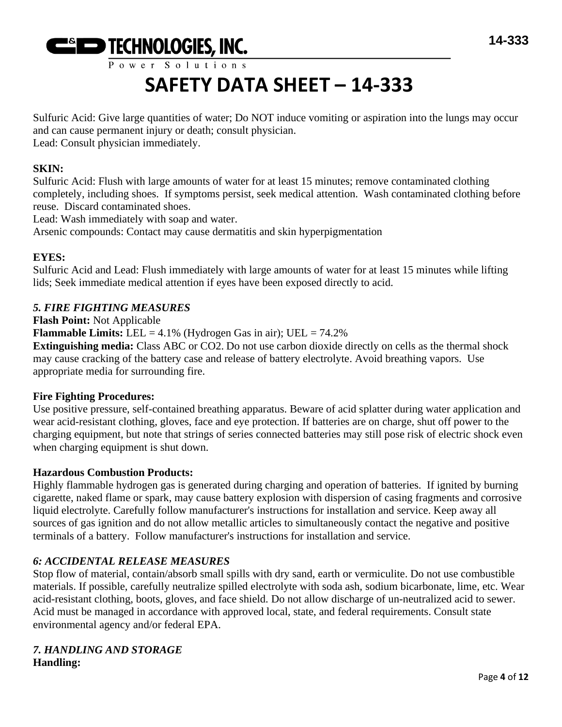

Power Solutions

# **SAFETY DATA SHEET – 14-333**

Sulfuric Acid: Give large quantities of water; Do NOT induce vomiting or aspiration into the lungs may occur and can cause permanent injury or death; consult physician. Lead: Consult physician immediately.

### **SKIN:**

Sulfuric Acid: Flush with large amounts of water for at least 15 minutes; remove contaminated clothing completely, including shoes. If symptoms persist, seek medical attention. Wash contaminated clothing before reuse. Discard contaminated shoes.

Lead: Wash immediately with soap and water.

Arsenic compounds: Contact may cause dermatitis and skin hyperpigmentation

# **EYES:**

Sulfuric Acid and Lead: Flush immediately with large amounts of water for at least 15 minutes while lifting lids; Seek immediate medical attention if eyes have been exposed directly to acid.

# *5. FIRE FIGHTING MEASURES*

**Flash Point:** Not Applicable

**Flammable Limits:** LEL =  $4.1\%$  (Hydrogen Gas in air); UEL =  $74.2\%$ 

**Extinguishing media:** Class ABC or CO2. Do not use carbon dioxide directly on cells as the thermal shock may cause cracking of the battery case and release of battery electrolyte. Avoid breathing vapors. Use appropriate media for surrounding fire.

# **Fire Fighting Procedures:**

Use positive pressure, self-contained breathing apparatus. Beware of acid splatter during water application and wear acid-resistant clothing, gloves, face and eye protection. If batteries are on charge, shut off power to the charging equipment, but note that strings of series connected batteries may still pose risk of electric shock even when charging equipment is shut down.

#### **Hazardous Combustion Products:**

Highly flammable hydrogen gas is generated during charging and operation of batteries. If ignited by burning cigarette, naked flame or spark, may cause battery explosion with dispersion of casing fragments and corrosive liquid electrolyte. Carefully follow manufacturer's instructions for installation and service. Keep away all sources of gas ignition and do not allow metallic articles to simultaneously contact the negative and positive terminals of a battery. Follow manufacturer's instructions for installation and service.

# *6: ACCIDENTAL RELEASE MEASURES*

Stop flow of material, contain/absorb small spills with dry sand, earth or vermiculite. Do not use combustible materials. If possible, carefully neutralize spilled electrolyte with soda ash, sodium bicarbonate, lime, etc. Wear acid-resistant clothing, boots, gloves, and face shield. Do not allow discharge of un-neutralized acid to sewer. Acid must be managed in accordance with approved local, state, and federal requirements. Consult state environmental agency and/or federal EPA.

#### *7. HANDLING AND STORAGE* **Handling:**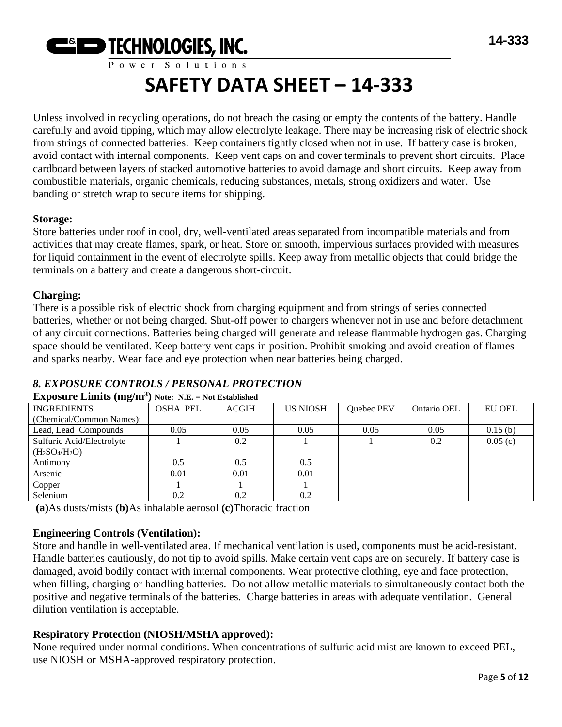

Unless involved in recycling operations, do not breach the casing or empty the contents of the battery. Handle carefully and avoid tipping, which may allow electrolyte leakage. There may be increasing risk of electric shock from strings of connected batteries. Keep containers tightly closed when not in use. If battery case is broken, avoid contact with internal components. Keep vent caps on and cover terminals to prevent short circuits. Place cardboard between layers of stacked automotive batteries to avoid damage and short circuits. Keep away from combustible materials, organic chemicals, reducing substances, metals, strong oxidizers and water. Use banding or stretch wrap to secure items for shipping.

#### **Storage:**

Store batteries under roof in cool, dry, well-ventilated areas separated from incompatible materials and from activities that may create flames, spark, or heat. Store on smooth, impervious surfaces provided with measures for liquid containment in the event of electrolyte spills. Keep away from metallic objects that could bridge the terminals on a battery and create a dangerous short-circuit.

# **Charging:**

There is a possible risk of electric shock from charging equipment and from strings of series connected batteries, whether or not being charged. Shut-off power to chargers whenever not in use and before detachment of any circuit connections. Batteries being charged will generate and release flammable hydrogen gas. Charging space should be ventilated. Keep battery vent caps in position. Prohibit smoking and avoid creation of flames and sparks nearby. Wear face and eye protection when near batteries being charged.

# *8. EXPOSURE CONTROLS / PERSONAL PROTECTION*

| $\sim$ $\sim$             |                 |              |                 |            |             |         |
|---------------------------|-----------------|--------------|-----------------|------------|-------------|---------|
| <b>INGREDIENTS</b>        | <b>OSHA PEL</b> | <b>ACGIH</b> | <b>US NIOSH</b> | Quebec PEV | Ontario OEL | EU OEL  |
| (Chemical/Common Names):  |                 |              |                 |            |             |         |
| Lead, Lead Compounds      | 0.05            | 0.05         | 0.05            | 0.05       | 0.05        | 0.15(b) |
| Sulfuric Acid/Electrolyte |                 | 0.2          |                 |            | 0.2         | 0.05(c) |
| $(H_2SO_4/H_2O)$          |                 |              |                 |            |             |         |
| Antimony                  | 0.5             | 0.5          | 0.5             |            |             |         |
| Arsenic                   | 0.01            | 0.01         | 0.01            |            |             |         |
| Copper                    |                 |              |                 |            |             |         |
| Selenium                  | 0.2             | 0.2          | 0.2             |            |             |         |
|                           |                 |              |                 |            |             |         |

#### **Exposure Limits (mg/m<sup>3</sup> ) Note: N.E. = Not Established**

**(a)**As dusts/mists **(b)**As inhalable aerosol **(c)**Thoracic fraction

# **Engineering Controls (Ventilation):**

Store and handle in well-ventilated area. If mechanical ventilation is used, components must be acid-resistant. Handle batteries cautiously, do not tip to avoid spills. Make certain vent caps are on securely. If battery case is damaged, avoid bodily contact with internal components. Wear protective clothing, eye and face protection, when filling, charging or handling batteries. Do not allow metallic materials to simultaneously contact both the positive and negative terminals of the batteries. Charge batteries in areas with adequate ventilation. General dilution ventilation is acceptable.

# **Respiratory Protection (NIOSH/MSHA approved):**

None required under normal conditions. When concentrations of sulfuric acid mist are known to exceed PEL, use NIOSH or MSHA-approved respiratory protection.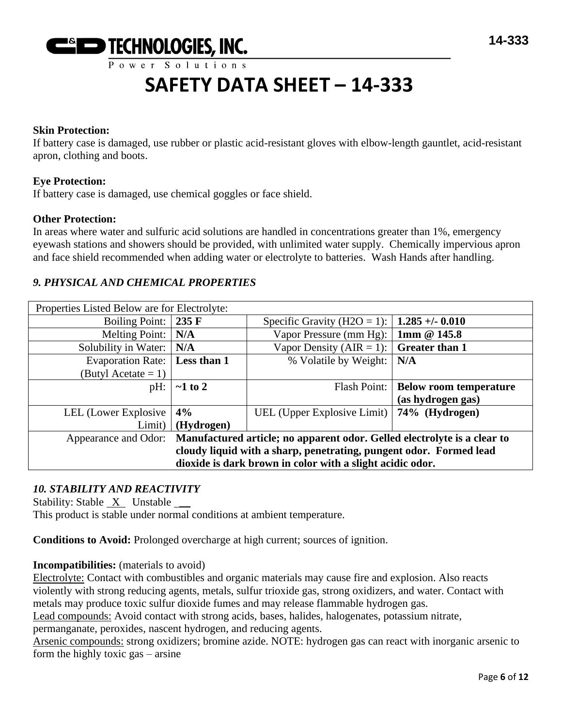

#### **Skin Protection:**

If battery case is damaged, use rubber or plastic acid-resistant gloves with elbow-length gauntlet, acid-resistant apron, clothing and boots.

#### **Eye Protection:**

If battery case is damaged, use chemical goggles or face shield.

#### **Other Protection:**

In areas where water and sulfuric acid solutions are handled in concentrations greater than 1%, emergency eyewash stations and showers should be provided, with unlimited water supply. Chemically impervious apron and face shield recommended when adding water or electrolyte to batteries. Wash Hands after handling.

# *9. PHYSICAL AND CHEMICAL PROPERTIES*

| Properties Listed Below are for Electrolyte:                                                  |                 |                                              |                               |
|-----------------------------------------------------------------------------------------------|-----------------|----------------------------------------------|-------------------------------|
| <b>Boiling Point:</b>                                                                         | $235 \text{ F}$ | Specific Gravity (H2O = 1):                  | $1.285 + -0.010$              |
| Melting Point:                                                                                | N/A             | Vapor Pressure (mm Hg):                      | 1mm @ 145.8                   |
| Solubility in Water:                                                                          | N/A             | Vapor Density (AIR = 1):                     | <b>Greater than 1</b>         |
| <b>Evaporation Rate:</b>                                                                      | Less than 1     | % Volatile by Weight:                        | N/A                           |
| (Butyl Acetate $= 1$ )                                                                        |                 |                                              |                               |
| pH:                                                                                           | $\sim$ 1 to 2   | Flash Point:                                 | <b>Below room temperature</b> |
|                                                                                               |                 |                                              | (as hydrogen gas)             |
| LEL (Lower Explosive                                                                          | 4%              | UEL (Upper Explosive Limit)   74% (Hydrogen) |                               |
| Limit)                                                                                        | (Hydrogen)      |                                              |                               |
| Appearance and Odor: Manufactured article; no apparent odor. Gelled electrolyte is a clear to |                 |                                              |                               |
| cloudy liquid with a sharp, penetrating, pungent odor. Formed lead                            |                 |                                              |                               |
| dioxide is dark brown in color with a slight acidic odor.                                     |                 |                                              |                               |

# *10. STABILITY AND REACTIVITY*

Stability: Stable X Unstable \_\_

This product is stable under normal conditions at ambient temperature.

**Conditions to Avoid:** Prolonged overcharge at high current; sources of ignition.

#### **Incompatibilities:** (materials to avoid)

Electrolyte: Contact with combustibles and organic materials may cause fire and explosion. Also reacts violently with strong reducing agents, metals, sulfur trioxide gas, strong oxidizers, and water. Contact with metals may produce toxic sulfur dioxide fumes and may release flammable hydrogen gas.

Lead compounds: Avoid contact with strong acids, bases, halides, halogenates, potassium nitrate,

permanganate, peroxides, nascent hydrogen, and reducing agents.

Arsenic compounds: strong oxidizers; bromine azide. NOTE: hydrogen gas can react with inorganic arsenic to form the highly toxic gas – arsine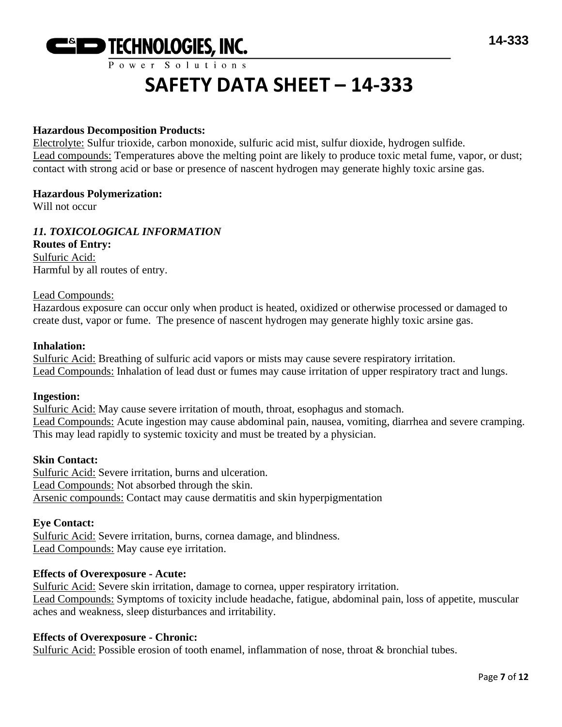

#### **Hazardous Decomposition Products:**

Electrolyte: Sulfur trioxide, carbon monoxide, sulfuric acid mist, sulfur dioxide, hydrogen sulfide. Lead compounds: Temperatures above the melting point are likely to produce toxic metal fume, vapor, or dust; contact with strong acid or base or presence of nascent hydrogen may generate highly toxic arsine gas.

#### **Hazardous Polymerization:**

Will not occur

# *11. TOXICOLOGICAL INFORMATION*

**Routes of Entry:** Sulfuric Acid: Harmful by all routes of entry.

#### Lead Compounds:

Hazardous exposure can occur only when product is heated, oxidized or otherwise processed or damaged to create dust, vapor or fume. The presence of nascent hydrogen may generate highly toxic arsine gas.

#### **Inhalation:**

Sulfuric Acid: Breathing of sulfuric acid vapors or mists may cause severe respiratory irritation. Lead Compounds: Inhalation of lead dust or fumes may cause irritation of upper respiratory tract and lungs.

#### **Ingestion:**

Sulfuric Acid: May cause severe irritation of mouth, throat, esophagus and stomach. Lead Compounds: Acute ingestion may cause abdominal pain, nausea, vomiting, diarrhea and severe cramping. This may lead rapidly to systemic toxicity and must be treated by a physician.

#### **Skin Contact:**

Sulfuric Acid: Severe irritation, burns and ulceration. Lead Compounds: Not absorbed through the skin. Arsenic compounds: Contact may cause dermatitis and skin hyperpigmentation

#### **Eye Contact:**

Sulfuric Acid: Severe irritation, burns, cornea damage, and blindness. Lead Compounds: May cause eye irritation.

#### **Effects of Overexposure - Acute:**

Sulfuric Acid: Severe skin irritation, damage to cornea, upper respiratory irritation. Lead Compounds: Symptoms of toxicity include headache, fatigue, abdominal pain, loss of appetite, muscular aches and weakness, sleep disturbances and irritability.

#### **Effects of Overexposure - Chronic:**

Sulfuric Acid: Possible erosion of tooth enamel, inflammation of nose, throat & bronchial tubes.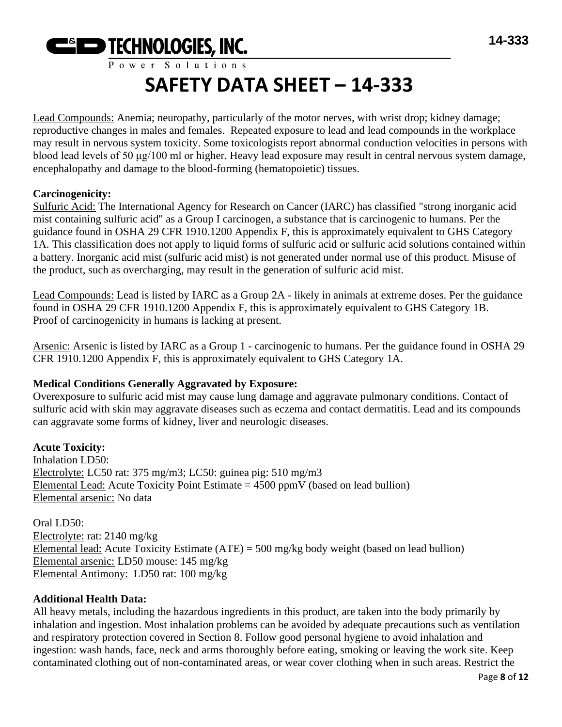

Lead Compounds: Anemia; neuropathy, particularly of the motor nerves, with wrist drop; kidney damage; reproductive changes in males and females. Repeated exposure to lead and lead compounds in the workplace may result in nervous system toxicity. Some toxicologists report abnormal conduction velocities in persons with blood lead levels of 50 μg/100 ml or higher. Heavy lead exposure may result in central nervous system damage, encephalopathy and damage to the blood-forming (hematopoietic) tissues.

# **Carcinogenicity:**

Sulfuric Acid: The International Agency for Research on Cancer (IARC) has classified "strong inorganic acid mist containing sulfuric acid" as a Group I carcinogen, a substance that is carcinogenic to humans. Per the guidance found in OSHA 29 CFR 1910.1200 Appendix F, this is approximately equivalent to GHS Category 1A. This classification does not apply to liquid forms of sulfuric acid or sulfuric acid solutions contained within a battery. Inorganic acid mist (sulfuric acid mist) is not generated under normal use of this product. Misuse of the product, such as overcharging, may result in the generation of sulfuric acid mist.

Lead Compounds: Lead is listed by IARC as a Group 2A - likely in animals at extreme doses. Per the guidance found in OSHA 29 CFR 1910.1200 Appendix F, this is approximately equivalent to GHS Category 1B. Proof of carcinogenicity in humans is lacking at present.

Arsenic: Arsenic is listed by IARC as a Group 1 - carcinogenic to humans. Per the guidance found in OSHA 29 CFR 1910.1200 Appendix F, this is approximately equivalent to GHS Category 1A.

# **Medical Conditions Generally Aggravated by Exposure:**

Overexposure to sulfuric acid mist may cause lung damage and aggravate pulmonary conditions. Contact of sulfuric acid with skin may aggravate diseases such as eczema and contact dermatitis. Lead and its compounds can aggravate some forms of kidney, liver and neurologic diseases.

# **Acute Toxicity:**

Inhalation LD50: Electrolyte: LC50 rat: 375 mg/m3; LC50: guinea pig: 510 mg/m3 Elemental Lead: Acute Toxicity Point Estimate  $= 4500$  ppmV (based on lead bullion) Elemental arsenic: No data

Oral LD50: Electrolyte: rat: 2140 mg/kg Elemental lead: Acute Toxicity Estimate (ATE) = 500 mg/kg body weight (based on lead bullion) Elemental arsenic: LD50 mouse: 145 mg/kg Elemental Antimony: LD50 rat: 100 mg/kg

# **Additional Health Data:**

All heavy metals, including the hazardous ingredients in this product, are taken into the body primarily by inhalation and ingestion. Most inhalation problems can be avoided by adequate precautions such as ventilation and respiratory protection covered in Section 8. Follow good personal hygiene to avoid inhalation and ingestion: wash hands, face, neck and arms thoroughly before eating, smoking or leaving the work site. Keep contaminated clothing out of non-contaminated areas, or wear cover clothing when in such areas. Restrict the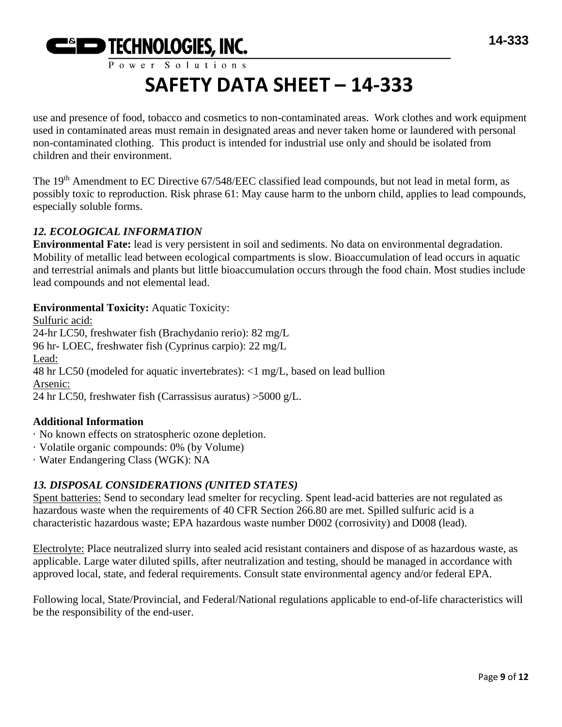

use and presence of food, tobacco and cosmetics to non-contaminated areas. Work clothes and work equipment used in contaminated areas must remain in designated areas and never taken home or laundered with personal non-contaminated clothing. This product is intended for industrial use only and should be isolated from children and their environment.

The 19<sup>th</sup> Amendment to EC Directive 67/548/EEC classified lead compounds, but not lead in metal form, as possibly toxic to reproduction. Risk phrase 61: May cause harm to the unborn child, applies to lead compounds, especially soluble forms.

# *12. ECOLOGICAL INFORMATION*

**Environmental Fate:** lead is very persistent in soil and sediments. No data on environmental degradation. Mobility of metallic lead between ecological compartments is slow. Bioaccumulation of lead occurs in aquatic and terrestrial animals and plants but little bioaccumulation occurs through the food chain. Most studies include lead compounds and not elemental lead.

# **Environmental Toxicity:** Aquatic Toxicity:

Sulfuric acid: 24-hr LC50, freshwater fish (Brachydanio rerio): 82 mg/L 96 hr- LOEC, freshwater fish (Cyprinus carpio): 22 mg/L Lead: 48 hr LC50 (modeled for aquatic invertebrates): <1 mg/L, based on lead bullion Arsenic: 24 hr LC50, freshwater fish (Carrassisus auratus) >5000 g/L.

# **Additional Information**

- · No known effects on stratospheric ozone depletion.
- · Volatile organic compounds: 0% (by Volume)
- · Water Endangering Class (WGK): NA

# *13. DISPOSAL CONSIDERATIONS (UNITED STATES)*

Spent batteries: Send to secondary lead smelter for recycling. Spent lead-acid batteries are not regulated as hazardous waste when the requirements of 40 CFR Section 266.80 are met. Spilled sulfuric acid is a characteristic hazardous waste; EPA hazardous waste number D002 (corrosivity) and D008 (lead).

Electrolyte: Place neutralized slurry into sealed acid resistant containers and dispose of as hazardous waste, as applicable. Large water diluted spills, after neutralization and testing, should be managed in accordance with approved local, state, and federal requirements. Consult state environmental agency and/or federal EPA.

Following local, State/Provincial, and Federal/National regulations applicable to end-of-life characteristics will be the responsibility of the end-user.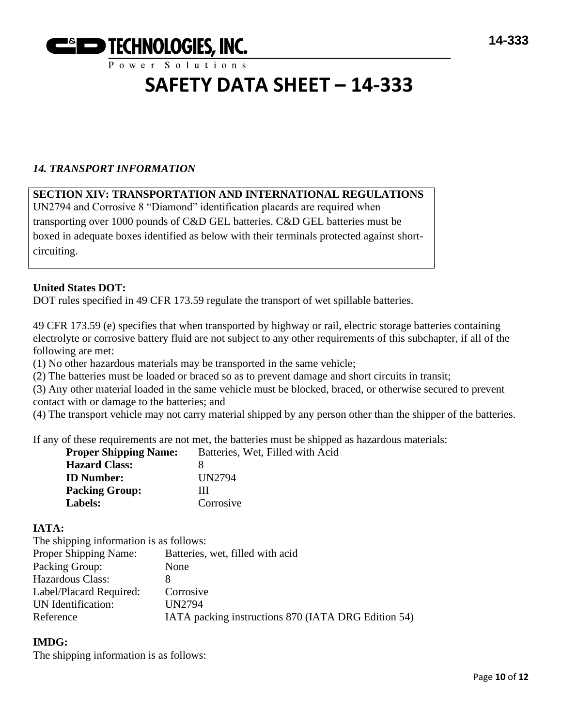

# *14. TRANSPORT INFORMATION*

# **SECTION XIV: TRANSPORTATION AND INTERNATIONAL REGULATIONS**

UN2794 and Corrosive 8 "Diamond" identification placards are required when transporting over 1000 pounds of C&D GEL batteries. C&D GEL batteries must be boxed in adequate boxes identified as below with their terminals protected against shortcircuiting.

#### **United States DOT:**

DOT rules specified in 49 CFR 173.59 regulate the transport of wet spillable batteries.

49 CFR 173.59 (e) specifies that when transported by highway or rail, electric storage batteries containing electrolyte or corrosive battery fluid are not subject to any other requirements of this subchapter, if all of the following are met:

(1) No other hazardous materials may be transported in the same vehicle;

(2) The batteries must be loaded or braced so as to prevent damage and short circuits in transit;

(3) Any other material loaded in the same vehicle must be blocked, braced, or otherwise secured to prevent contact with or damage to the batteries; and

(4) The transport vehicle may not carry material shipped by any person other than the shipper of the batteries.

If any of these requirements are not met, the batteries must be shipped as hazardous materials:

| <b>Proper Shipping Name:</b> | Batteries, Wet, Filled with Acid |
|------------------------------|----------------------------------|
| <b>Hazard Class:</b>         |                                  |
| <b>ID</b> Number:            | UN2794                           |
| <b>Packing Group:</b>        | Ш                                |
| Labels:                      | Corrosive                        |

#### **IATA:**

The shipping information is as follows:

| Proper Shipping Name:   | Batteries, wet, filled with acid                    |
|-------------------------|-----------------------------------------------------|
| Packing Group:          | None                                                |
| Hazardous Class:        |                                                     |
| Label/Placard Required: | Corrosive                                           |
| UN Identification:      | UN2794                                              |
| Reference               | IATA packing instructions 870 (IATA DRG Edition 54) |
|                         |                                                     |

#### **IMDG:**

The shipping information is as follows: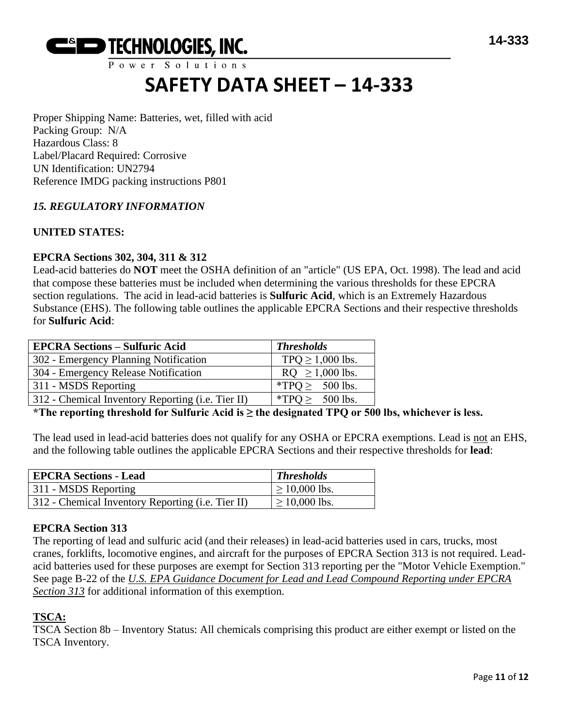

Power Solutions

# **SAFETY DATA SHEET – 14-333**

Proper Shipping Name: Batteries, wet, filled with acid Packing Group: N/A Hazardous Class: 8 Label/Placard Required: Corrosive UN Identification: UN2794 Reference IMDG packing instructions P801

# *15. REGULATORY INFORMATION*

# **UNITED STATES:**

# **EPCRA Sections 302, 304, 311 & 312**

Lead-acid batteries do **NOT** meet the OSHA definition of an "article" (US EPA, Oct. 1998). The lead and acid that compose these batteries must be included when determining the various thresholds for these EPCRA section regulations. The acid in lead-acid batteries is **Sulfuric Acid**, which is an Extremely Hazardous Substance (EHS). The following table outlines the applicable EPCRA Sections and their respective thresholds for **Sulfuric Acid**:

| <b>EPCRA Sections - Sulfuric Acid</b>             | <b>Thresholds</b>    |
|---------------------------------------------------|----------------------|
| 302 - Emergency Planning Notification             | $TPQ \ge 1,000$ lbs. |
| 304 - Emergency Release Notification              | $RQ \ge 1,000$ lbs.  |
| 311 - MSDS Reporting                              | *TPQ $\geq$ 500 lbs. |
| 312 - Chemical Inventory Reporting (i.e. Tier II) | *TPO > $500$ lbs.    |

**\*The reporting threshold for Sulfuric Acid is ≥ the designated TPQ or 500 lbs, whichever is less.**

The lead used in lead-acid batteries does not qualify for any OSHA or EPCRA exemptions. Lead is not an EHS, and the following table outlines the applicable EPCRA Sections and their respective thresholds for **lead**:

| <b>EPCRA Sections - Lead</b>                      | <b>Thresholds</b>  |
|---------------------------------------------------|--------------------|
| 311 - MSDS Reporting                              | $\geq 10,000$ lbs. |
| 312 - Chemical Inventory Reporting (i.e. Tier II) | $\geq 10,000$ lbs. |

# **EPCRA Section 313**

The reporting of lead and sulfuric acid (and their releases) in lead-acid batteries used in cars, trucks, most cranes, forklifts, locomotive engines, and aircraft for the purposes of EPCRA Section 313 is not required. Leadacid batteries used for these purposes are exempt for Section 313 reporting per the "Motor Vehicle Exemption." See page B-22 of the *U.S. EPA Guidance Document for Lead and Lead Compound Reporting under EPCRA Section 313* for additional information of this exemption.

# **TSCA:**

TSCA Section 8b – Inventory Status: All chemicals comprising this product are either exempt or listed on the TSCA Inventory.